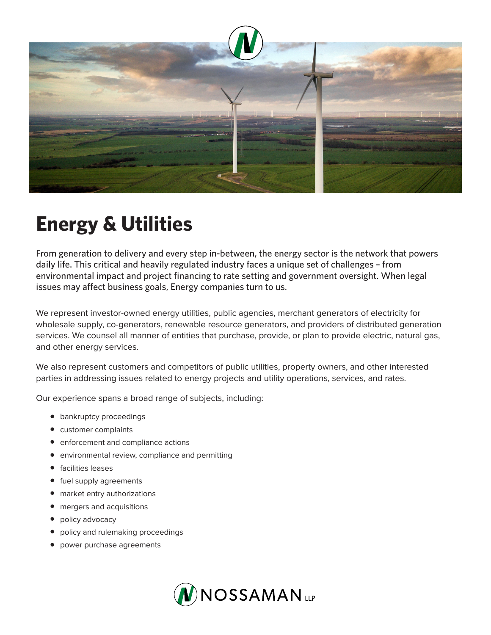

## **Energy & Utilities**

From generation to delivery and every step in-between, the energy sector is the network that powers daily life. This critical and heavily regulated industry faces a unique set of challenges – from environmental impact and project financing to rate setting and government oversight. When legal issues may affect business goals, Energy companies turn to us.

We represent investor-owned energy utilities, public agencies, merchant generators of electricity for wholesale supply, co-generators, renewable resource generators, and providers of distributed generation services. We counsel all manner of entities that purchase, provide, or plan to provide electric, natural gas, and other energy services.

We also represent customers and competitors of public utilities, property owners, and other interested parties in addressing issues related to energy projects and utility operations, services, and rates.

Our experience spans a broad range of subjects, including:

- bankruptcy proceedings
- customer complaints
- enforcement and compliance actions
- environmental review, compliance and permitting
- facilities leases
- fuel supply agreements
- market entry authorizations
- mergers and acquisitions
- policy advocacy
- policy and rulemaking proceedings
- power purchase agreements

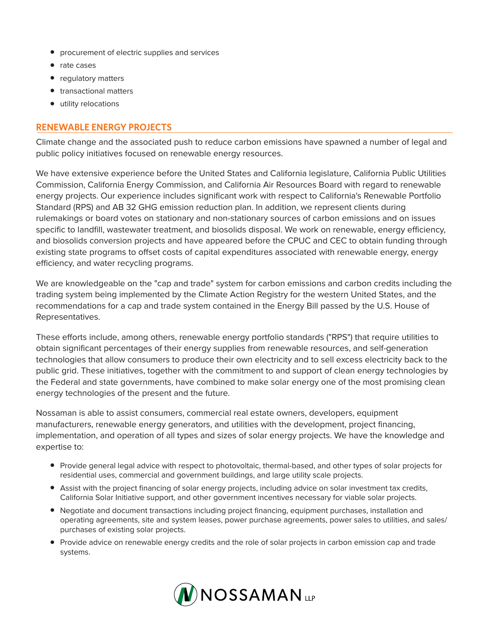- procurement of electric supplies and services
- rate cases
- regulatory matters
- transactional matters
- utility relocations

## **RENEWABLE ENERGY PROJECTS**

Climate change and the associated push to reduce carbon emissions have spawned a number of legal and public policy initiatives focused on renewable energy resources.

We have extensive experience before the United States and California legislature, California Public Utilities Commission, California Energy Commission, and California Air Resources Board with regard to renewable energy projects. Our experience includes significant work with respect to California's Renewable Portfolio Standard (RPS) and AB 32 GHG emission reduction plan. In addition, we represent clients during rulemakings or board votes on stationary and non-stationary sources of carbon emissions and on issues specific to landfill, wastewater treatment, and biosolids disposal. We work on renewable, energy efficiency, and biosolids conversion projects and have appeared before the CPUC and CEC to obtain funding through existing state programs to offset costs of capital expenditures associated with renewable energy, energy efficiency, and water recycling programs.

We are knowledgeable on the "cap and trade" system for carbon emissions and carbon credits including the trading system being implemented by the Climate Action Registry for the western United States, and the recommendations for a cap and trade system contained in the Energy Bill passed by the U.S. House of Representatives.

These efforts include, among others, renewable energy portfolio standards ("RPS") that require utilities to obtain significant percentages of their energy supplies from renewable resources, and self-generation technologies that allow consumers to produce their own electricity and to sell excess electricity back to the public grid. These initiatives, together with the commitment to and support of clean energy technologies by the Federal and state governments, have combined to make solar energy one of the most promising clean energy technologies of the present and the future.

Nossaman is able to assist consumers, commercial real estate owners, developers, equipment manufacturers, renewable energy generators, and utilities with the development, project financing, implementation, and operation of all types and sizes of solar energy projects. We have the knowledge and expertise to:

- Provide general legal advice with respect to photovoltaic, thermal-based, and other types of solar projects for residential uses, commercial and government buildings, and large utility scale projects.
- Assist with the project financing of solar energy projects, including advice on solar investment tax credits, California Solar Initiative support, and other government incentives necessary for viable solar projects.
- Negotiate and document transactions including project financing, equipment purchases, installation and operating agreements, site and system leases, power purchase agreements, power sales to utilities, and sales/ purchases of existing solar projects.
- Provide advice on renewable energy credits and the role of solar projects in carbon emission cap and trade systems.